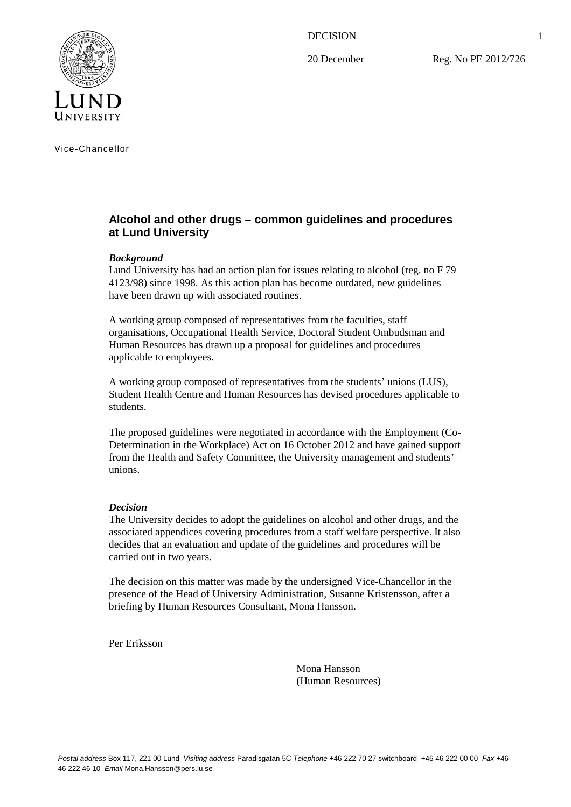DECISION

20 December

Reg. No PE 2012/726



Vice-Chancellor

# **Alcohol and other drugs – common guidelines and procedures at Lund University**

# *Background*

Lund University has had an action plan for issues relating to alcohol (reg. no F 79 4123/98) since 1998. As this action plan has become outdated, new guidelines have been drawn up with associated routines.

A working group composed of representatives from the faculties, staff organisations, Occupational Health Service, Doctoral Student Ombudsman and Human Resources has drawn up a proposal for guidelines and procedures applicable to employees.

A working group composed of representatives from the students' unions (LUS), Student Health Centre and Human Resources has devised procedures applicable to students.

The proposed guidelines were negotiated in accordance with the Employment (Co-Determination in the Workplace) Act on 16 October 2012 and have gained support from the Health and Safety Committee, the University management and students' unions.

# *Decision*

The University decides to adopt the guidelines on alcohol and other drugs, and the associated appendices covering procedures from a staff welfare perspective. It also decides that an evaluation and update of the guidelines and procedures will be carried out in two years.

The decision on this matter was made by the undersigned Vice-Chancellor in the presence of the Head of University Administration, Susanne Kristensson, after a briefing by Human Resources Consultant, Mona Hansson.

Per Eriksson

Mona Hansson (Human Resources)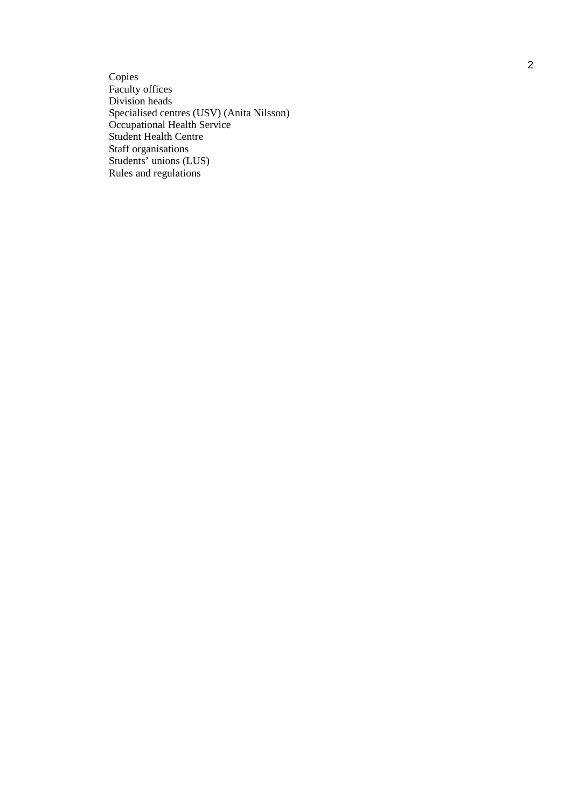Copies Faculty offices Division heads Specialised centres (USV) (Anita Nilsson) Occupational Health Service Student Health Centre Staff organisations Students' unions (LUS) Rules and regulations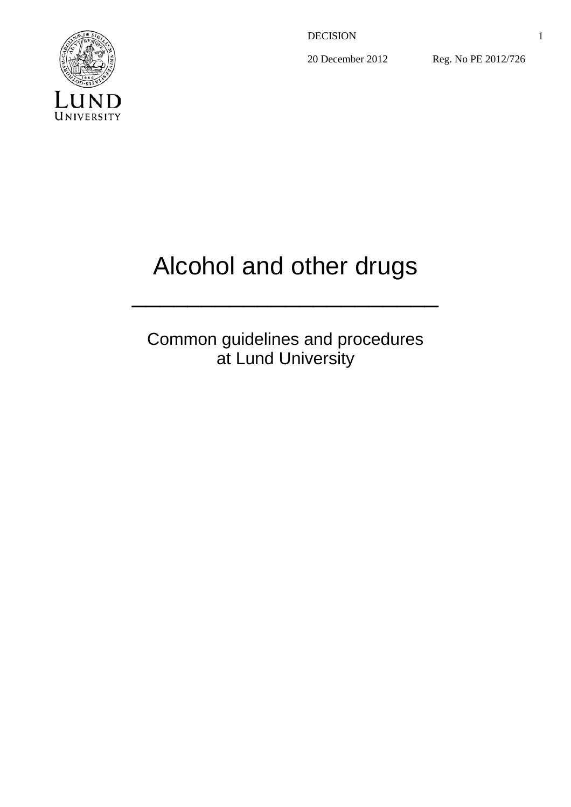DECISION

20 December 2012

Reg. No PE 2012/726



# Alcohol and other drugs

 $\mathcal{L}_\text{max}$  and  $\mathcal{L}_\text{max}$  are the set of  $\mathcal{L}_\text{max}$ 

Common guidelines and procedures at Lund University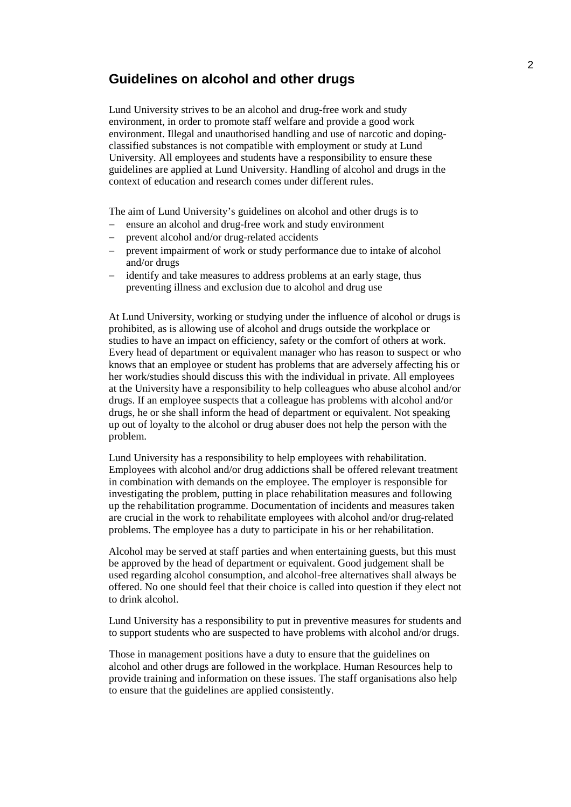# **Guidelines on alcohol and other drugs**

Lund University strives to be an alcohol and drug-free work and study environment, in order to promote staff welfare and provide a good work environment. Illegal and unauthorised handling and use of narcotic and dopingclassified substances is not compatible with employment or study at Lund University. All employees and students have a responsibility to ensure these guidelines are applied at Lund University. Handling of alcohol and drugs in the context of education and research comes under different rules.

The aim of Lund University's guidelines on alcohol and other drugs is to

- ensure an alcohol and drug-free work and study environment
- prevent alcohol and/or drug-related accidents
- prevent impairment of work or study performance due to intake of alcohol and/or drugs
- identify and take measures to address problems at an early stage, thus preventing illness and exclusion due to alcohol and drug use

At Lund University, working or studying under the influence of alcohol or drugs is prohibited, as is allowing use of alcohol and drugs outside the workplace or studies to have an impact on efficiency, safety or the comfort of others at work. Every head of department or equivalent manager who has reason to suspect or who knows that an employee or student has problems that are adversely affecting his or her work/studies should discuss this with the individual in private. All employees at the University have a responsibility to help colleagues who abuse alcohol and/or drugs. If an employee suspects that a colleague has problems with alcohol and/or drugs, he or she shall inform the head of department or equivalent. Not speaking up out of loyalty to the alcohol or drug abuser does not help the person with the problem.

Lund University has a responsibility to help employees with rehabilitation. Employees with alcohol and/or drug addictions shall be offered relevant treatment in combination with demands on the employee. The employer is responsible for investigating the problem, putting in place rehabilitation measures and following up the rehabilitation programme. Documentation of incidents and measures taken are crucial in the work to rehabilitate employees with alcohol and/or drug-related problems. The employee has a duty to participate in his or her rehabilitation.

Alcohol may be served at staff parties and when entertaining guests, but this must be approved by the head of department or equivalent. Good judgement shall be used regarding alcohol consumption, and alcohol-free alternatives shall always be offered. No one should feel that their choice is called into question if they elect not to drink alcohol.

Lund University has a responsibility to put in preventive measures for students and to support students who are suspected to have problems with alcohol and/or drugs.

Those in management positions have a duty to ensure that the guidelines on alcohol and other drugs are followed in the workplace. Human Resources help to provide training and information on these issues. The staff organisations also help to ensure that the guidelines are applied consistently.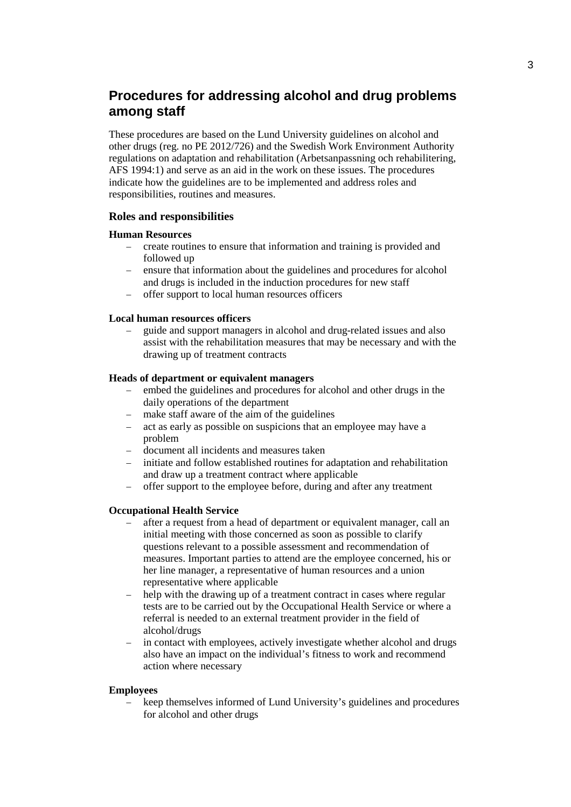# **Procedures for addressing alcohol and drug problems among staff**

These procedures are based on the Lund University guidelines on alcohol and other drugs (reg. no PE 2012/726) and the Swedish Work Environment Authority regulations on adaptation and rehabilitation (Arbetsanpassning och rehabilitering, AFS 1994:1) and serve as an aid in the work on these issues. The procedures indicate how the guidelines are to be implemented and address roles and responsibilities, routines and measures.

# **Roles and responsibilities**

#### **Human Resources**

- − create routines to ensure that information and training is provided and followed up
- − ensure that information about the guidelines and procedures for alcohol and drugs is included in the induction procedures for new staff
- − offer support to local human resources officers

#### **Local human resources officers**

guide and support managers in alcohol and drug-related issues and also assist with the rehabilitation measures that may be necessary and with the drawing up of treatment contracts

#### **Heads of department or equivalent managers**

- − embed the guidelines and procedures for alcohol and other drugs in the daily operations of the department
- make staff aware of the aim of the guidelines
- − act as early as possible on suspicions that an employee may have a problem
- − document all incidents and measures taken
- initiate and follow established routines for adaptation and rehabilitation and draw up a treatment contract where applicable
- − offer support to the employee before, during and after any treatment

#### **Occupational Health Service**

- after a request from a head of department or equivalent manager, call an initial meeting with those concerned as soon as possible to clarify questions relevant to a possible assessment and recommendation of measures. Important parties to attend are the employee concerned, his or her line manager, a representative of human resources and a union representative where applicable
- help with the drawing up of a treatment contract in cases where regular tests are to be carried out by the Occupational Health Service or where a referral is needed to an external treatment provider in the field of alcohol/drugs
- in contact with employees, actively investigate whether alcohol and drugs also have an impact on the individual's fitness to work and recommend action where necessary

#### **Employees**

keep themselves informed of Lund University's guidelines and procedures for alcohol and other drugs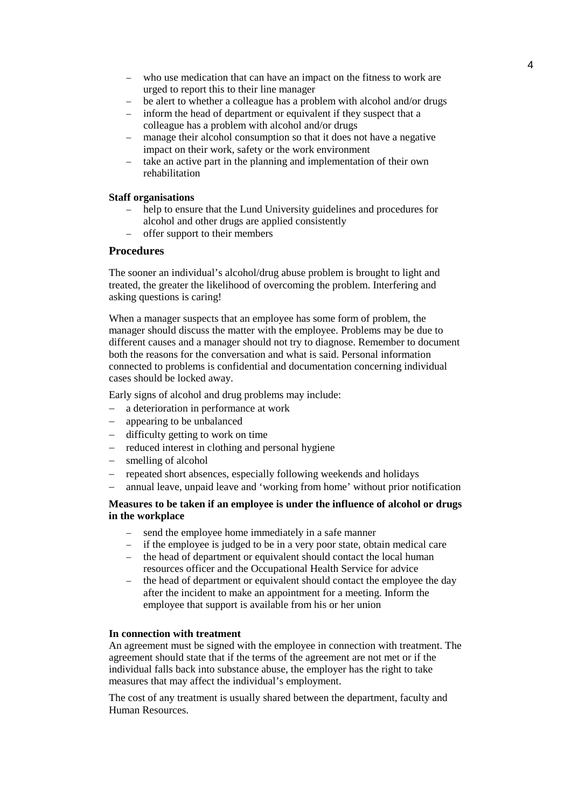- − who use medication that can have an impact on the fitness to work are urged to report this to their line manager
- be alert to whether a colleague has a problem with alcohol and/or drugs
- inform the head of department or equivalent if they suspect that a colleague has a problem with alcohol and/or drugs
- manage their alcohol consumption so that it does not have a negative impact on their work, safety or the work environment
- take an active part in the planning and implementation of their own rehabilitation

#### **Staff organisations**

- help to ensure that the Lund University guidelines and procedures for alcohol and other drugs are applied consistently
- − offer support to their members

# **Procedures**

The sooner an individual's alcohol/drug abuse problem is brought to light and treated, the greater the likelihood of overcoming the problem. Interfering and asking questions is caring!

When a manager suspects that an employee has some form of problem, the manager should discuss the matter with the employee. Problems may be due to different causes and a manager should not try to diagnose. Remember to document both the reasons for the conversation and what is said. Personal information connected to problems is confidential and documentation concerning individual cases should be locked away.

Early signs of alcohol and drug problems may include:

- − a deterioration in performance at work
- − appearing to be unbalanced
- difficulty getting to work on time
- − reduced interest in clothing and personal hygiene
- − smelling of alcohol
- − repeated short absences, especially following weekends and holidays
- − annual leave, unpaid leave and 'working from home' without prior notification

# **Measures to be taken if an employee is under the influence of alcohol or drugs in the workplace**

- send the employee home immediately in a safe manner
- − if the employee is judged to be in a very poor state, obtain medical care
- − the head of department or equivalent should contact the local human resources officer and the Occupational Health Service for advice
- the head of department or equivalent should contact the employee the day after the incident to make an appointment for a meeting. Inform the employee that support is available from his or her union

# **In connection with treatment**

An agreement must be signed with the employee in connection with treatment. The agreement should state that if the terms of the agreement are not met or if the individual falls back into substance abuse, the employer has the right to take measures that may affect the individual's employment.

The cost of any treatment is usually shared between the department, faculty and Human Resources.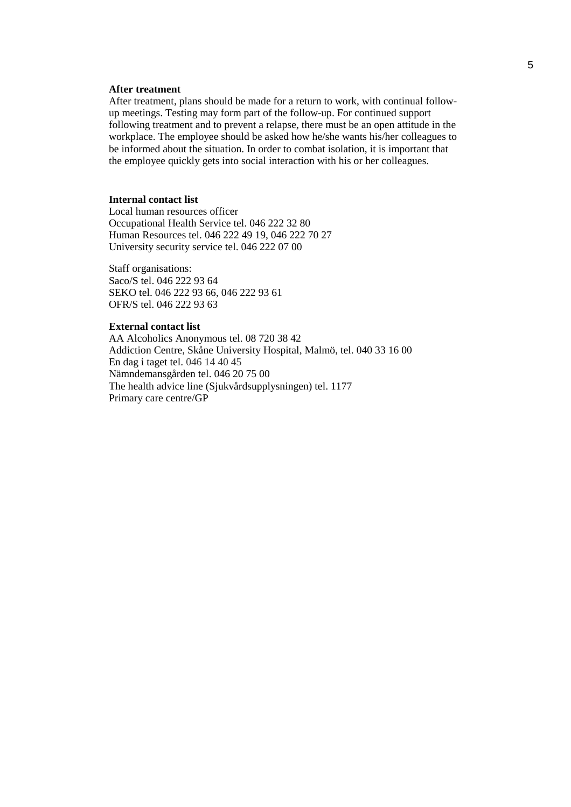#### **After treatment**

After treatment, plans should be made for a return to work, with continual followup meetings. Testing may form part of the follow-up. For continued support following treatment and to prevent a relapse, there must be an open attitude in the workplace. The employee should be asked how he/she wants his/her colleagues to be informed about the situation. In order to combat isolation, it is important that the employee quickly gets into social interaction with his or her colleagues.

#### **Internal contact list**

Local human resources officer Occupational Health Service tel. 046 222 32 80 Human Resources tel. 046 222 49 19, 046 222 70 27 University security service tel. 046 222 07 00

Staff organisations: Saco/S tel. 046 222 93 64 SEKO tel. 046 222 93 66, 046 222 93 61 OFR/S tel. 046 222 93 63

### **External contact list**

AA Alcoholics Anonymous tel. 08 720 38 42 Addiction Centre, Skåne University Hospital, Malmö, tel. 040 33 16 00 En dag i taget tel. 046 14 40 45 Nämndemansgården tel. 046 20 75 00 The health advice line (Sjukvårdsupplysningen) tel. 1177 Primary care centre/GP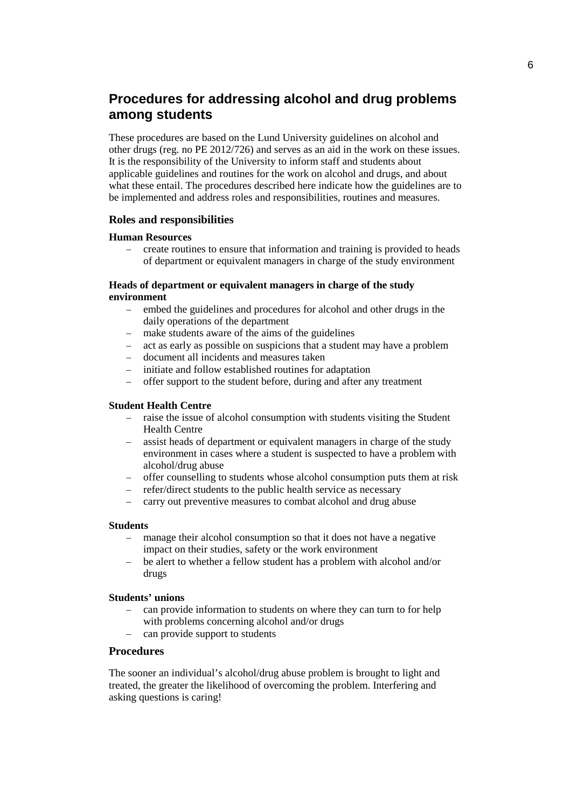# **Procedures for addressing alcohol and drug problems among students**

These procedures are based on the Lund University guidelines on alcohol and other drugs (reg. no PE 2012/726) and serves as an aid in the work on these issues. It is the responsibility of the University to inform staff and students about applicable guidelines and routines for the work on alcohol and drugs, and about what these entail. The procedures described here indicate how the guidelines are to be implemented and address roles and responsibilities, routines and measures.

# **Roles and responsibilities**

#### **Human Resources**

− create routines to ensure that information and training is provided to heads of department or equivalent managers in charge of the study environment

#### **Heads of department or equivalent managers in charge of the study environment**

- − embed the guidelines and procedures for alcohol and other drugs in the daily operations of the department
- − make students aware of the aims of the guidelines
- act as early as possible on suspicions that a student may have a problem
- − document all incidents and measures taken
- initiate and follow established routines for adaptation
- offer support to the student before, during and after any treatment

### **Student Health Centre**

- raise the issue of alcohol consumption with students visiting the Student Health Centre
- − assist heads of department or equivalent managers in charge of the study environment in cases where a student is suspected to have a problem with alcohol/drug abuse
- − offer counselling to students whose alcohol consumption puts them at risk
- − refer/direct students to the public health service as necessary
- − carry out preventive measures to combat alcohol and drug abuse

#### **Students**

- manage their alcohol consumption so that it does not have a negative impact on their studies, safety or the work environment
- − be alert to whether a fellow student has a problem with alcohol and/or drugs

#### **Students' unions**

- can provide information to students on where they can turn to for help with problems concerning alcohol and/or drugs
- − can provide support to students

# **Procedures**

The sooner an individual's alcohol/drug abuse problem is brought to light and treated, the greater the likelihood of overcoming the problem. Interfering and asking questions is caring!